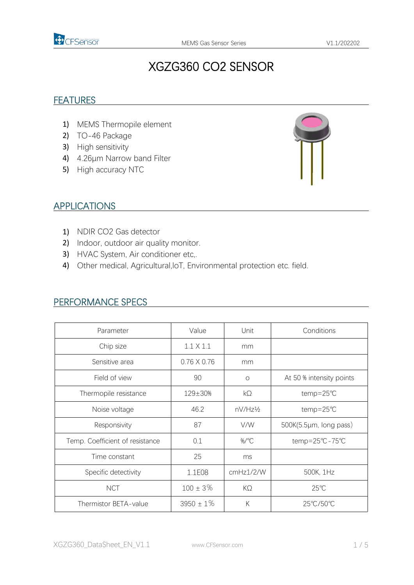

# XGZG360 CO2 SENSOR

#### **FEATURES**

- 1) MEMS Thermopile element
- 2) TO-46 Package
- 3) High sensitivity
- 4) 4.26μm Narrow band Filter
- 5) High accuracy NTC



#### APPLICATIONS

- 1) NDIR CO2 Gas detector
- 2) Indoor, outdoor air quality monitor.
- 3) HVAC System, Air conditioner etc,.
- 4) Other medical, Agricultural, IoT, Environmental protection etc. field.

| Parameter                       | Value              | Unit      | Conditions               |  |
|---------------------------------|--------------------|-----------|--------------------------|--|
| Chip size                       | $1.1 \times 1.1$   | mm        |                          |  |
| Sensitive area                  | $0.76 \times 0.76$ | mm        |                          |  |
| Field of view                   | 90                 | $\circ$   | At 50 % intensity points |  |
| Thermopile resistance           | $129 \pm 30%$      | $k\Omega$ | temp=25℃                 |  |
| Noise voltage                   | 46.2               | nV/Hz½    | temp=25℃                 |  |
| Responsivity                    | 87                 | V/W       | 500K(5.5µm, long pass)   |  |
| Temp. Coefficient of resistance | 0.1                | %/°C      | temp=25°C-75°C           |  |
| Time constant                   | 25                 | ms        |                          |  |
| Specific detectivity            | 1.1E08             | cmHz1/2/W | 500K, 1Hz                |  |
| <b>NCT</b>                      | $100 \pm 3\%$      | $K\Omega$ | $25^{\circ}$ C           |  |
| Thermistor BETA-value           | $3950 \pm 1\%$     | К         | 25℃/50℃                  |  |

#### PERFORMANCE SPECS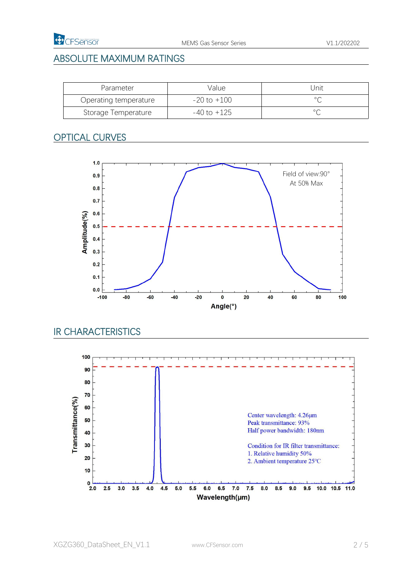

### ABSOLUTE MAXIMUM RATINGS

| Parameter             | Value       | Jnit           |
|-----------------------|-------------|----------------|
| Operating temperature | -20 to +100 | $\circ$        |
| Storage Temperature   | -40 to +125 | $\circ$ $\cap$ |

### OPTICAL CURVES



### IR CHARACTERISTICS

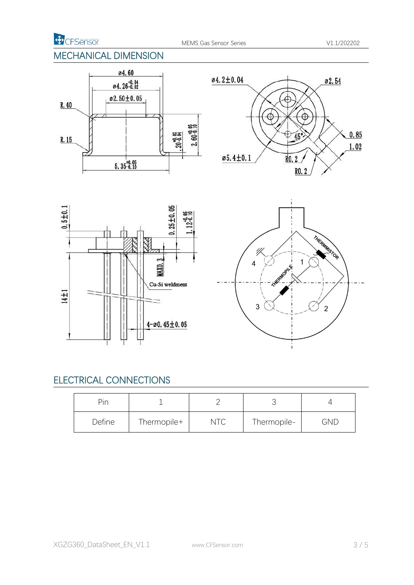**D** CFSensor

### MECHANICAL DIMENSION









### ELECTRICAL CONNECTIONS

| Pin    |             |                    | ◡           |            |
|--------|-------------|--------------------|-------------|------------|
| Define | Thermopile+ | $T_{\rm C}$<br>マーヘ | Thermopile- | <b>GND</b> |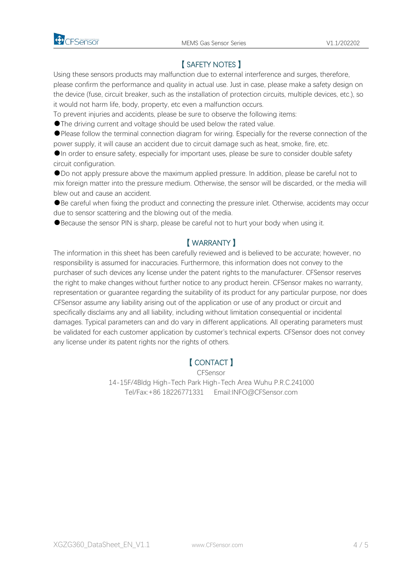

### 【 SAFETY NOTES 】

Using these sensors products may malfunction due to external interference and surges, therefore, please confirm the performance and quality in actual use. Just in case, please make a safety design on the device (fuse, circuit breaker, such as the installation of protection circuits, multiple devices, etc.), so it would not harm life, body, property, etc even a malfunction occurs.

To prevent injuries and accidents, please be sure to observe the following items:

●The driving current and voltage should be used below the rated value.

●Please follow the terminal connection diagram for wiring. Especially for the reverse connection of the power supply, it will cause an accident due to circuit damage such as heat, smoke, fire, etc.

●In order to ensure safety, especially for important uses, please be sure to consider double safety circuit configuration.

●Do not apply pressure above the maximum applied pressure. In addition, please be careful not to mix foreign matter into the pressure medium. Otherwise, the sensor will be discarded, or the media will blew out and cause an accident.<br>●Be careful when fixing the product and connecting the pressure inlet. Otherwise, accidents may occur

due to sensor scattering and the blowing out of the media.

●Because the sensor PIN is sharp, please be careful not to hurt your body when using it.

#### 【 WARRANTY 】

The information in this sheet has been carefully reviewed and is believed to be accurate; however, no responsibility is assumed for inaccuracies. Furthermore, this information does not convey to the purchaser of such devices any license under the patent rights to the manufacturer. CFSensor reserves the right to make changes without further notice to any product herein. CFSensor makes no warranty, representation or guarantee regarding the suitability of its product for any particular purpose, nor does CFSensor assume any liability arising out of the application or use of any product or circuit and specifically disclaims any and all liability, including without limitation consequential or incidental damages. Typical parameters can and do vary in different applications. All operating parameters must be validated for each customer application by customer's technical experts. CFSensor does notconvey any license under its patent rights nor the rights of others.

#### 【 CONTACT 】

CFSensor 14-15F/4Bldg High-Tech Park High-Tech Area Wuhu P.R.C.241000 Tel/Fax:+86 18226771331 Email:INFO@CFSensor.com